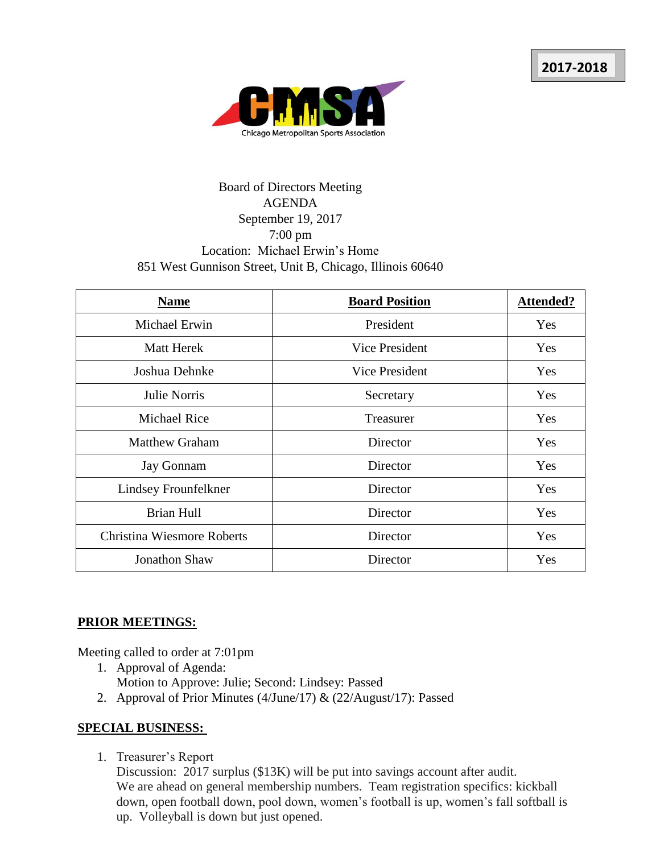

## Board of Directors Meeting AGENDA September 19, 2017 7:00 pm Location: Michael Erwin's Home 851 West Gunnison Street, Unit B, Chicago, Illinois 60640

| <b>Name</b>                       | <b>Board Position</b> | <b>Attended?</b> |
|-----------------------------------|-----------------------|------------------|
| Michael Erwin                     | President             | Yes              |
| <b>Matt Herek</b>                 | Vice President        | Yes              |
| Joshua Dehnke                     | <b>Vice President</b> | Yes              |
| Julie Norris                      | Secretary             | Yes              |
| <b>Michael Rice</b>               | Treasurer             | Yes              |
| <b>Matthew Graham</b>             | Director              | Yes              |
| <b>Jay Gonnam</b>                 | Director              | Yes              |
| Lindsey Frounfelkner              | Director              | Yes              |
| <b>Brian Hull</b>                 | Director              | Yes              |
| <b>Christina Wiesmore Roberts</b> | Director              | Yes              |
| Jonathon Shaw                     | Director              | Yes              |

## **PRIOR MEETINGS:**

Meeting called to order at 7:01pm

- 1. Approval of Agenda: Motion to Approve: Julie; Second: Lindsey: Passed
- 2. Approval of Prior Minutes (4/June/17) & (22/August/17): Passed

## **SPECIAL BUSINESS:**

1. Treasurer's Report

Discussion: 2017 surplus (\$13K) will be put into savings account after audit. We are ahead on general membership numbers. Team registration specifics: kickball down, open football down, pool down, women's football is up, women's fall softball is up. Volleyball is down but just opened.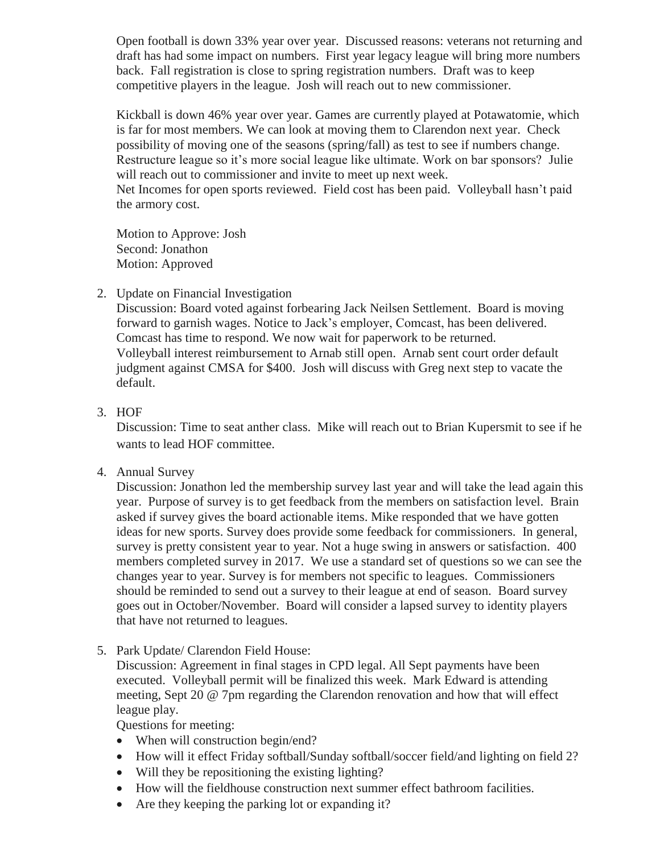Open football is down 33% year over year. Discussed reasons: veterans not returning and draft has had some impact on numbers. First year legacy league will bring more numbers back. Fall registration is close to spring registration numbers. Draft was to keep competitive players in the league. Josh will reach out to new commissioner.

Kickball is down 46% year over year. Games are currently played at Potawatomie, which is far for most members. We can look at moving them to Clarendon next year. Check possibility of moving one of the seasons (spring/fall) as test to see if numbers change. Restructure league so it's more social league like ultimate. Work on bar sponsors? Julie will reach out to commissioner and invite to meet up next week. Net Incomes for open sports reviewed. Field cost has been paid. Volleyball hasn't paid the armory cost.

Motion to Approve: Josh Second: Jonathon Motion: Approved

2. Update on Financial Investigation

Discussion: Board voted against forbearing Jack Neilsen Settlement. Board is moving forward to garnish wages. Notice to Jack's employer, Comcast, has been delivered. Comcast has time to respond. We now wait for paperwork to be returned. Volleyball interest reimbursement to Arnab still open. Arnab sent court order default judgment against CMSA for \$400. Josh will discuss with Greg next step to vacate the default.

3. HOF

Discussion: Time to seat anther class. Mike will reach out to Brian Kupersmit to see if he wants to lead HOF committee.

4. Annual Survey

Discussion: Jonathon led the membership survey last year and will take the lead again this year. Purpose of survey is to get feedback from the members on satisfaction level. Brain asked if survey gives the board actionable items. Mike responded that we have gotten ideas for new sports. Survey does provide some feedback for commissioners. In general, survey is pretty consistent year to year. Not a huge swing in answers or satisfaction. 400 members completed survey in 2017. We use a standard set of questions so we can see the changes year to year. Survey is for members not specific to leagues. Commissioners should be reminded to send out a survey to their league at end of season. Board survey goes out in October/November. Board will consider a lapsed survey to identity players that have not returned to leagues.

5. Park Update/ Clarendon Field House:

Discussion: Agreement in final stages in CPD legal. All Sept payments have been executed. Volleyball permit will be finalized this week. Mark Edward is attending meeting, Sept 20 @ 7pm regarding the Clarendon renovation and how that will effect league play.

Questions for meeting:

- When will construction begin/end?
- How will it effect Friday softball/Sunday softball/soccer field/and lighting on field 2?
- Will they be repositioning the existing lighting?
- How will the fieldhouse construction next summer effect bathroom facilities.
- Are they keeping the parking lot or expanding it?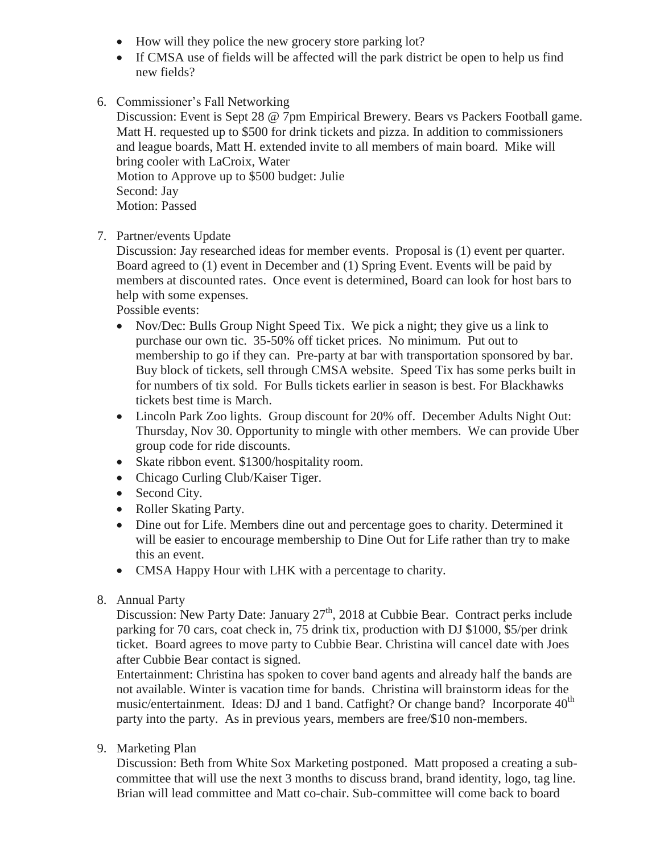- How will they police the new grocery store parking lot?
- If CMSA use of fields will be affected will the park district be open to help us find new fields?
- 6. Commissioner's Fall Networking

Discussion: Event is Sept 28 @ 7pm Empirical Brewery. Bears vs Packers Football game. Matt H. requested up to \$500 for drink tickets and pizza. In addition to commissioners and league boards, Matt H. extended invite to all members of main board. Mike will bring cooler with LaCroix, Water Motion to Approve up to \$500 budget: Julie Second: Jay Motion: Passed

7. Partner/events Update

Discussion: Jay researched ideas for member events. Proposal is (1) event per quarter. Board agreed to (1) event in December and (1) Spring Event. Events will be paid by members at discounted rates. Once event is determined, Board can look for host bars to help with some expenses.

Possible events:

- Nov/Dec: Bulls Group Night Speed Tix. We pick a night; they give us a link to purchase our own tic. 35-50% off ticket prices. No minimum. Put out to membership to go if they can. Pre-party at bar with transportation sponsored by bar. Buy block of tickets, sell through CMSA website. Speed Tix has some perks built in for numbers of tix sold. For Bulls tickets earlier in season is best. For Blackhawks tickets best time is March.
- Lincoln Park Zoo lights. Group discount for 20% off. December Adults Night Out: Thursday, Nov 30. Opportunity to mingle with other members. We can provide Uber group code for ride discounts.
- Skate ribbon event. \$1300/hospitality room.
- Chicago Curling Club/Kaiser Tiger.
- Second City.
- Roller Skating Party.
- Dine out for Life. Members dine out and percentage goes to charity. Determined it will be easier to encourage membership to Dine Out for Life rather than try to make this an event.
- CMSA Happy Hour with LHK with a percentage to charity.
- 8. Annual Party

Discussion: New Party Date: January  $27<sup>th</sup>$ , 2018 at Cubbie Bear. Contract perks include parking for 70 cars, coat check in, 75 drink tix, production with DJ \$1000, \$5/per drink ticket. Board agrees to move party to Cubbie Bear. Christina will cancel date with Joes after Cubbie Bear contact is signed.

Entertainment: Christina has spoken to cover band agents and already half the bands are not available. Winter is vacation time for bands. Christina will brainstorm ideas for the music/entertainment. Ideas: DJ and 1 band. Catfight? Or change band? Incorporate  $40<sup>th</sup>$ party into the party. As in previous years, members are free/\$10 non-members.

9. Marketing Plan

Discussion: Beth from White Sox Marketing postponed. Matt proposed a creating a subcommittee that will use the next 3 months to discuss brand, brand identity, logo, tag line. Brian will lead committee and Matt co-chair. Sub-committee will come back to board